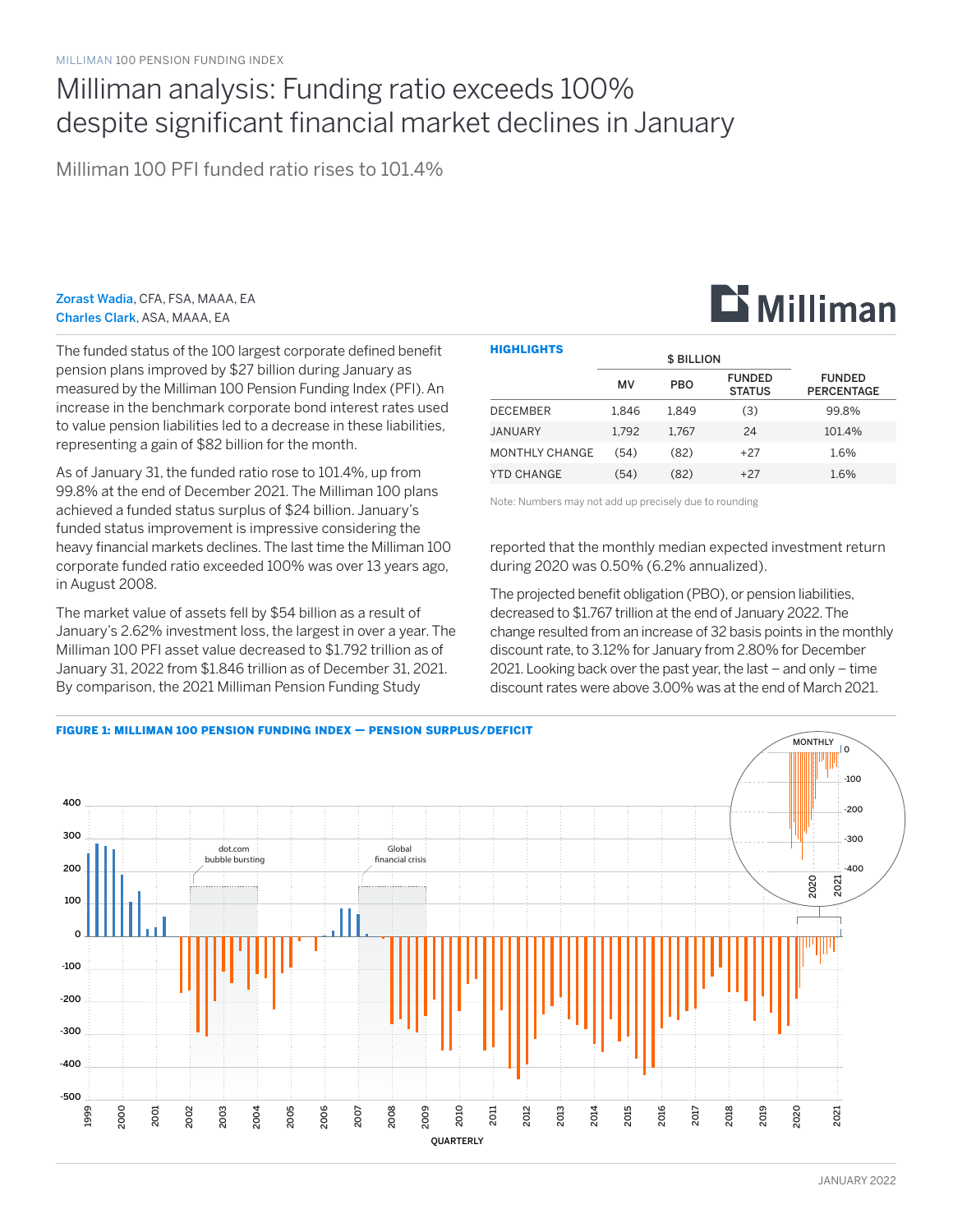## Milliman analysis: Funding ratio exceeds 100% despite significant financial market declines in January

Milliman 100 PFI funded ratio rises to 101.4%

Zorast Wadia, CFA, FSA, MAAA, EA Charles Clark, ASA, MAAA, EA

The funded status of the 100 largest corporate defined benefit pension plans improved by \$27 billion during January as measured by the Milliman 100 Pension Funding Index (PFI). An increase in the benchmark corporate bond interest rates used to value pension liabilities led to a decrease in these liabilities, representing a gain of \$82 billion for the month.

As of January 31, the funded ratio rose to 101.4%, up from 99.8% at the end of December 2021. The Milliman 100 plans achieved a funded status surplus of \$24 billion. January's funded status improvement is impressive considering the heavy financial markets declines. The last time the Milliman 100 corporate funded ratio exceeded 100% was over 13 years ago, in August 2008.

The market value of assets fell by \$54 billion as a result of January's 2.62% investment loss, the largest in over a year. The Milliman 100 PFI asset value decreased to \$1.792 trillion as of January 31, 2022 from \$1.846 trillion as of December 31, 2021. By comparison, the 2021 Milliman Pension Funding Study

| <b>HIGHLIGHTS</b> |       | <b>\$ BILLION</b> |                                |                                    |
|-------------------|-------|-------------------|--------------------------------|------------------------------------|
|                   | MV    | <b>PBO</b>        | <b>FUNDED</b><br><b>STATUS</b> | <b>FUNDED</b><br><b>PERCENTAGE</b> |
| <b>DECEMBER</b>   | 1.846 | 1.849             | (3)                            | 99.8%                              |
| JANUARY           | 1.792 | 1.767             | 24                             | 101.4%                             |
| MONTHLY CHANGE    | (54)  | (82)              | $+27$                          | 1.6%                               |
| <b>YTD CHANGE</b> | (54)  | (82)              | $+27$                          | 1.6%                               |

**Li** Milliman

Note: Numbers may not add up precisely due to rounding

reported that the monthly median expected investment return during 2020 was 0.50% (6.2% annualized).

The projected benefit obligation (PBO), or pension liabilities, decreased to \$1.767 trillion at the end of January 2022. The change resulted from an increase of 32 basis points in the monthly discount rate, to 3.12% for January from 2.80% for December 2021. Looking back over the past year, the last – and only – time discount rates were above 3.00% was at the end of March 2021.

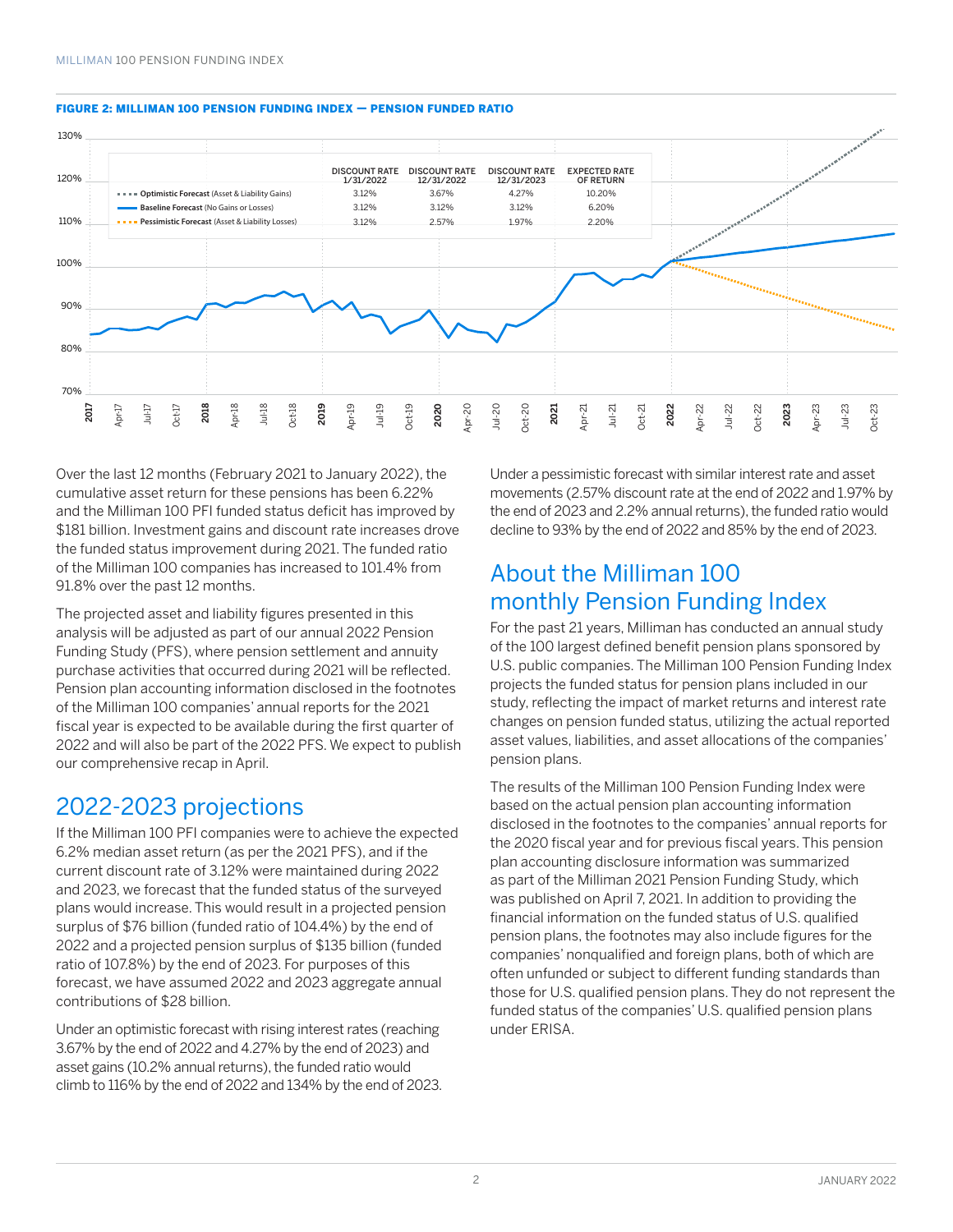

#### FIGURE 2: MILLIMAN 100 PENSION FUNDING INDEX — PENSION FUNDED RATIO

Over the last 12 months (February 2021 to January 2022), the cumulative asset return for these pensions has been 6.22% and the Milliman 100 PFI funded status deficit has improved by \$181 billion. Investment gains and discount rate increases drove the funded status improvement during 2021. The funded ratio of the Milliman 100 companies has increased to 101.4% from 91.8% over the past 12 months.

The projected asset and liability figures presented in this analysis will be adjusted as part of our annual 2022 Pension Funding Study (PFS), where pension settlement and annuity purchase activities that occurred during 2021 will be reflected. Pension plan accounting information disclosed in the footnotes of the Milliman 100 companies' annual reports for the 2021 fiscal year is expected to be available during the first quarter of 2022 and will also be part of the 2022 PFS. We expect to publish our comprehensive recap in April.

### 2022-2023 projections

If the Milliman 100 PFI companies were to achieve the expected 6.2% median asset return (as per the 2021 PFS), and if the current discount rate of 3.12% were maintained during 2022 and 2023, we forecast that the funded status of the surveyed plans would increase. This would result in a projected pension surplus of \$76 billion (funded ratio of 104.4%) by the end of 2022 and a projected pension surplus of \$135 billion (funded ratio of 107.8%) by the end of 2023. For purposes of this forecast, we have assumed 2022 and 2023 aggregate annual contributions of \$28 billion.

Under an optimistic forecast with rising interest rates (reaching 3.67% by the end of 2022 and 4.27% by the end of 2023) and asset gains (10.2% annual returns), the funded ratio would climb to 116% by the end of 2022 and 134% by the end of 2023. Under a pessimistic forecast with similar interest rate and asset movements (2.57% discount rate at the end of 2022 and 1.97% by the end of 2023 and 2.2% annual returns), the funded ratio would decline to 93% by the end of 2022 and 85% by the end of 2023.

## About the Milliman 100 monthly Pension Funding Index

For the past 21 years, Milliman has conducted an annual study of the 100 largest defined benefit pension plans sponsored by U.S. public companies. The Milliman 100 Pension Funding Index projects the funded status for pension plans included in our study, reflecting the impact of market returns and interest rate changes on pension funded status, utilizing the actual reported asset values, liabilities, and asset allocations of the companies' pension plans.

The results of the Milliman 100 Pension Funding Index were based on the actual pension plan accounting information disclosed in the footnotes to the companies' annual reports for the 2020 fiscal year and for previous fiscal years. This pension plan accounting disclosure information was summarized as part of the Milliman 2021 Pension Funding Study, which was published on April 7, 2021. In addition to providing the financial information on the funded status of U.S. qualified pension plans, the footnotes may also include figures for the companies' nonqualified and foreign plans, both of which are often unfunded or subject to different funding standards than those for U.S. qualified pension plans. They do not represent the funded status of the companies' U.S. qualified pension plans under ERISA.